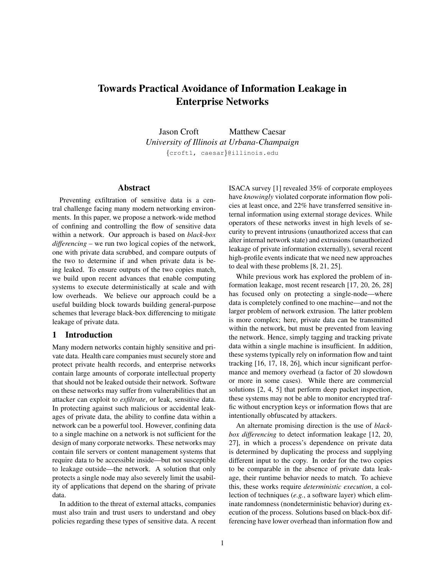# Towards Practical Avoidance of Information Leakage in Enterprise Networks

Jason Croft Matthew Caesar *University of Illinois at Urbana-Champaign* {croft1, caesar}@illinois.edu

# Abstract

Preventing exfiltration of sensitive data is a central challenge facing many modern networking environments. In this paper, we propose a network-wide method of confining and controlling the flow of sensitive data within a network. Our approach is based on *black-box differencing* – we run two logical copies of the network, one with private data scrubbed, and compare outputs of the two to determine if and when private data is being leaked. To ensure outputs of the two copies match, we build upon recent advances that enable computing systems to execute deterministically at scale and with low overheads. We believe our approach could be a useful building block towards building general-purpose schemes that leverage black-box differencing to mitigate leakage of private data.

## 1 Introduction

Many modern networks contain highly sensitive and private data. Health care companies must securely store and protect private health records, and enterprise networks contain large amounts of corporate intellectual property that should not be leaked outside their network. Software on these networks may suffer from vulnerabilities that an attacker can exploit to *exfiltrate*, or leak, sensitive data. In protecting against such malicious or accidental leakages of private data, the ability to confine data within a network can be a powerful tool. However, confining data to a single machine on a network is not sufficient for the design of many corporate networks. These networks may contain file servers or content management systems that require data to be accessible inside—but not susceptible to leakage outside—the network. A solution that only protects a single node may also severely limit the usability of applications that depend on the sharing of private data.

In addition to the threat of external attacks, companies must also train and trust users to understand and obey policies regarding these types of sensitive data. A recent ISACA survey [1] revealed 35% of corporate employees have *knowingly* violated corporate information flow policies at least once, and 22% have transferred sensitive internal information using external storage devices. While operators of these networks invest in high levels of security to prevent intrusions (unauthorized access that can alter internal network state) and extrusions (unauthorized leakage of private information externally), several recent high-profile events indicate that we need new approaches to deal with these problems [8, 21, 25].

While previous work has explored the problem of information leakage, most recent research [17, 20, 26, 28] has focused only on protecting a single-node—where data is completely confined to one machine—and not the larger problem of network extrusion. The latter problem is more complex; here, private data can be transmitted within the network, but must be prevented from leaving the network. Hence, simply tagging and tracking private data within a single machine is insufficient. In addition, these systems typically rely on information flow and taint tracking [16, 17, 18, 26], which incur significant performance and memory overhead (a factor of 20 slowdown or more in some cases). While there are commercial solutions [2, 4, 5] that perform deep packet inspection, these systems may not be able to monitor encrypted traffic without encryption keys or information flows that are intentionally obfuscated by attackers.

An alternate promising direction is the use of *blackbox differencing* to detect information leakage [12, 20, 27], in which a process's dependence on private data is determined by duplicating the process and supplying different input to the copy. In order for the two copies to be comparable in the absence of private data leakage, their runtime behavior needs to match. To achieve this, these works require *deterministic execution*, a collection of techniques (*e.g.*, a software layer) which eliminate randomness (nondeterministic behavior) during execution of the process. Solutions based on black-box differencing have lower overhead than information flow and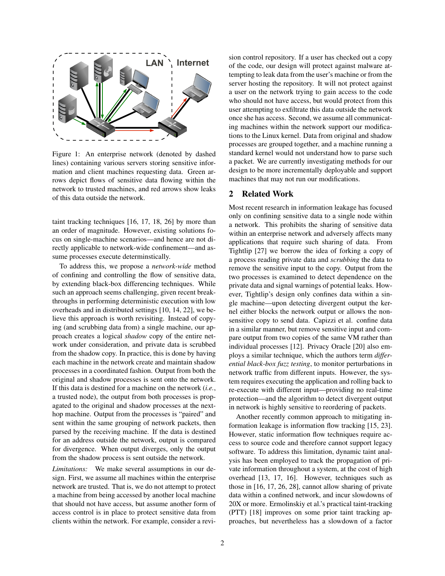

Figure 1: An enterprise network (denoted by dashed lines) containing various servers storing sensitive information and client machines requesting data. Green arrows depict flows of sensitive data flowing within the network to trusted machines, and red arrows show leaks of this data outside the network.

taint tracking techniques [16, 17, 18, 26] by more than an order of magnitude. However, existing solutions focus on single-machine scenarios—and hence are not directly applicable to network-wide confinement—and assume processes execute determinstically.

To address this, we propose a *network-wide* method of confining and controlling the flow of sensitive data, by extending black-box differencing techniques. While such an approach seems challenging, given recent breakthroughs in performing deterministic execution with low overheads and in distributed settings [10, 14, 22], we believe this approach is worth revisiting. Instead of copying (and scrubbing data from) a single machine, our approach creates a logical *shadow* copy of the entire network under consideration, and private data is scrubbed from the shadow copy. In practice, this is done by having each machine in the network create and maintain shadow processes in a coordinated fashion. Output from both the original and shadow processes is sent onto the network. If this data is destined for a machine on the network (*i.e.*, a trusted node), the output from both processes is propagated to the original and shadow processes at the nexthop machine. Output from the processes is "paired" and sent within the same grouping of network packets, then parsed by the receiving machine. If the data is destined for an address outside the network, output is compared for divergence. When output diverges, only the output from the shadow process is sent outside the network.

*Limitations:* We make several assumptions in our design. First, we assume all machines within the enterprise network are trusted. That is, we do not attempt to protect a machine from being accessed by another local machine that should not have access, but assume another form of access control is in place to protect sensitive data from clients within the network. For example, consider a revision control repository. If a user has checked out a copy of the code, our design will protect against malware attempting to leak data from the user's machine or from the server hosting the repository. It will not protect against a user on the network trying to gain access to the code who should not have access, but would protect from this user attempting to exfiltrate this data outside the network once she has access. Second, we assume all communicating machines within the network support our modifications to the Linux kernel. Data from original and shadow processes are grouped together, and a machine running a standard kernel would not understand how to parse such a packet. We are currently investigating methods for our design to be more incrementally deployable and support machines that may not run our modifications.

# 2 Related Work

Most recent research in information leakage has focused only on confining sensitive data to a single node within a network. This prohibits the sharing of sensitive data within an enterprise network and adversely affects many applications that require such sharing of data. From Tightlip [27] we borrow the idea of forking a copy of a process reading private data and *scrubbing* the data to remove the sensitive input to the copy. Output from the two processes is examined to detect dependence on the private data and signal warnings of potential leaks. However, Tightlip's design only confines data within a single machine—upon detecting divergent output the kernel either blocks the network output or allows the nonsensitive copy to send data. Capizzi et al. confine data in a similar manner, but remove sensitive input and compare output from two copies of the same VM rather than individual processes [12]. Privacy Oracle [20] also employs a similar technique, which the authors term *differential black-box fuzz testing*, to monitor perturbations in network traffic from different inputs. However, the system requires executing the application and rolling back to re-execute with different input—providing no real-time protection—and the algorithm to detect divergent output in network is highly sensitive to reordering of packets.

Another recently common approach to mitigating information leakage is information flow tracking [15, 23]. However, static information flow techniques require access to source code and therefore cannot support legacy software. To address this limitation, dynamic taint analysis has been employed to track the propagation of private information throughout a system, at the cost of high overhead [13, 17, 16]. However, techniques such as those in [16, 17, 26, 28], cannot allow sharing of private data within a confined network, and incur slowdowns of 20X or more. Ermolinskiy et al.'s practical taint-tracking (PTT) [18] improves on some prior taint tracking approaches, but nevertheless has a slowdown of a factor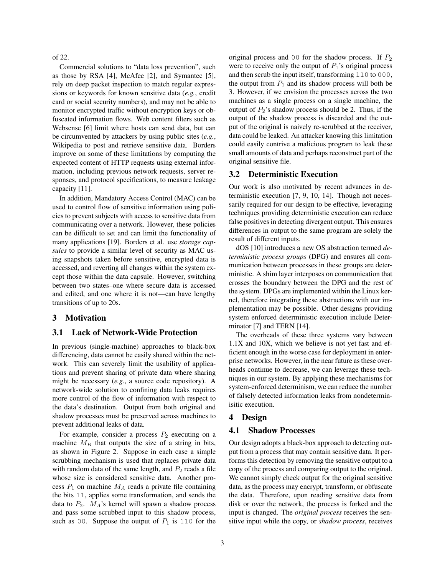#### of 22.

Commercial solutions to "data loss prevention", such as those by RSA [4], McAfee [2], and Symantec [5], rely on deep packet inspection to match regular expressions or keywords for known sensitive data (*e.g.*, credit card or social security numbers), and may not be able to monitor encrypted traffic without encryption keys or obfuscated information flows. Web content filters such as Websense [6] limit where hosts can send data, but can be circumvented by attackers by using public sites (*e.g.*, Wikipedia to post and retrieve sensitive data. Borders improve on some of these limitations by computing the expected content of HTTP requests using external information, including previous network requests, server responses, and protocol specifications, to measure leakage capacity [11].

In addition, Mandatory Access Control (MAC) can be used to control flow of sensitive information using policies to prevent subjects with access to sensitive data from communicating over a network. However, these policies can be difficult to set and can limit the functionality of many applications [19]. Borders et al. use *storage capsules* to provide a similar level of security as MAC using snapshots taken before sensitive, encrypted data is accessed, and reverting all changes within the system except those within the data capsule. However, switching between two states–one where secure data is accessed and edited, and one where it is not—can have lengthy transitions of up to 20s.

## 3 Motivation

## 3.1 Lack of Network-Wide Protection

In previous (single-machine) approaches to black-box differencing, data cannot be easily shared within the network. This can severely limit the usability of applications and prevent sharing of private data where sharing might be necessary (*e.g.*, a source code repository). A network-wide solution to confining data leaks requires more control of the flow of information with respect to the data's destination. Output from both original and shadow processes must be preserved across machines to prevent additional leaks of data.

For example, consider a process  $P_2$  executing on a machine  $M_B$  that outputs the size of a string in bits, as shown in Figure 2. Suppose in each case a simple scrubbing mechanism is used that replaces private data with random data of the same length, and  $P_2$  reads a file whose size is considered sensitive data. Another process  $P_1$  on machine  $M_A$  reads a private file containing the bits 11, applies some transformation, and sends the data to  $P_2$ .  $M_A$ 's kernel will spawn a shadow process and pass some scrubbed input to this shadow process, such as 00. Suppose the output of  $P_1$  is 110 for the original process and 00 for the shadow process. If  $P_2$ were to receive only the output of  $P_1$ 's original process and then scrub the input itself, transforming 110 to 000, the output from  $P_1$  and its shadow process will both be 3. However, if we envision the processes across the two machines as a single process on a single machine, the output of  $P_2$ 's shadow process should be 2. Thus, if the output of the shadow process is discarded and the output of the original is naively re-scrubbed at the receiver, data could be leaked. An attacker knowing this limitation could easily contrive a malicious program to leak these small amounts of data and perhaps reconstruct part of the original sensitive file.

#### 3.2 Deterministic Execution

Our work is also motivated by recent advances in deterministic execution [7, 9, 10, 14]. Though not necessarily required for our design to be effective, leveraging techniques providing deterministic execution can reduce false positives in detecting divergent output. This ensures differences in output to the same program are solely the result of different inputs.

dOS [10] introduces a new OS abstraction termed *deterministic process groups* (DPG) and ensures all communication between processes in these groups are deterministic. A shim layer interposes on communication that crosses the boundary between the DPG and the rest of the system. DPGs are implemented within the Linux kernel, therefore integrating these abstractions with our implementation may be possible. Other designs providing system enforced deterministic execution include Determinator [7] and TERN [14].

The overheads of these three systems vary between 1.1X and 10X, which we believe is not yet fast and efficient enough in the worse case for deployment in enterprise networks. However, in the near future as these overheads continue to decrease, we can leverage these techniques in our system. By applying these mechanisms for system-enforced determinism, we can reduce the number of falsely detected information leaks from nondeterminisitic execution.

# 4 Design

### 4.1 Shadow Processes

Our design adopts a black-box approach to detecting output from a process that may contain sensitive data. It performs this detection by removing the sensitive output to a copy of the process and comparing output to the original. We cannot simply check output for the original sensitive data, as the process may encrypt, transform, or obfuscate the data. Therefore, upon reading sensitive data from disk or over the network, the process is forked and the input is changed. The *original process* receives the sensitive input while the copy, or *shadow process*, receives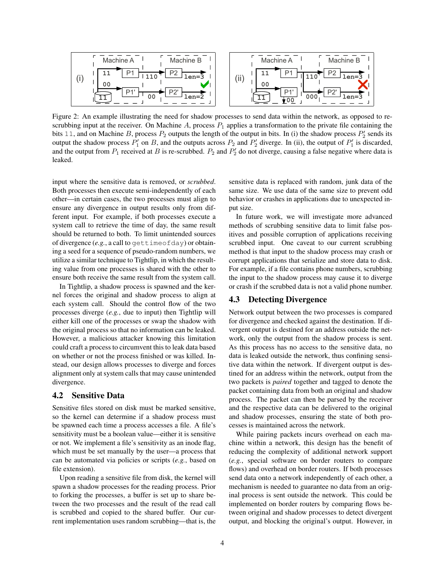

Figure 2: An example illustrating the need for shadow processes to send data within the network, as opposed to rescrubbing input at the receiver. On Machine  $A$ , process  $P_1$  applies a transformation to the private file containing the bits 11, and on Machine B, process  $P_2$  outputs the length of the output in bits. In (i) the shadow process  $P'_2$  sends its output the shadow process  $P'_1$  on B, and the outputs across  $P_2$  and  $P'_2$  diverge. In (ii), the output of  $P'_1$  is discarded, and the output from  $P_1$  received at B is re-scrubbed.  $P_2$  and  $P'_2$  do not diverge, causing a false negative where data is leaked.

input where the sensitive data is removed, or *scrubbed*. Both processes then execute semi-independently of each other—in certain cases, the two processes must align to ensure any divergence in output results only from different input. For example, if both processes execute a system call to retrieve the time of day, the same result should be returned to both. To limit unintended sources of divergence (*e.g.*, a call to gettimeofday) or obtaining a seed for a sequence of pseudo-random numbers, we utilize a similar technique to Tightlip, in which the resulting value from one processes is shared with the other to ensure both receive the same result from the system call.

In Tightlip, a shadow process is spawned and the kernel forces the original and shadow process to align at each system call. Should the control flow of the two processes diverge (*e.g.*, due to input) then Tightlip will either kill one of the processes or swap the shadow with the original process so that no information can be leaked. However, a malicious attacker knowing this limitation could craft a process to circumvent this to leak data based on whether or not the process finished or was killed. Instead, our design allows processes to diverge and forces alignment only at system calls that may cause unintended divergence.

## 4.2 Sensitive Data

Sensitive files stored on disk must be marked sensitive, so the kernel can determine if a shadow process must be spawned each time a process accesses a file. A file's sensitivity must be a boolean value—either it is sensitive or not. We implement a file's sensitivity as an inode flag, which must be set manually by the user—a process that can be automated via policies or scripts (*e.g.*, based on file extension).

Upon reading a sensitive file from disk, the kernel will spawn a shadow processes for the reading process. Prior to forking the processes, a buffer is set up to share between the two processes and the result of the read call is scrubbed and copied to the shared buffer. Our current implementation uses random scrubbing—that is, the sensitive data is replaced with random, junk data of the same size. We use data of the same size to prevent odd behavior or crashes in applications due to unexpected input size.

In future work, we will investigate more advanced methods of scrubbing sensitive data to limit false positives and possible corruption of applications receiving scrubbed input. One caveat to our current scrubbing method is that input to the shadow process may crash or corrupt applications that serialize and store data to disk. For example, if a file contains phone numbers, scrubbing the input to the shadow process may cause it to diverge or crash if the scrubbed data is not a valid phone number.

# 4.3 Detecting Divergence

Network output between the two processes is compared for divergence and checked against the destination. If divergent output is destined for an address outside the network, only the output from the shadow process is sent. As this process has no access to the sensitive data, no data is leaked outside the network, thus confining sensitive data within the network. If divergent output is destined for an address within the network, output from the two packets is *paired* together and tagged to denote the packet containing data from both an original and shadow process. The packet can then be parsed by the receiver and the respective data can be delivered to the original and shadow processes, ensuring the state of both processes is maintained across the network.

While pairing packets incurs overhead on each machine within a network, this design has the benefit of reducing the complexity of additional network support (*e.g.*, special software on border routers to compare flows) and overhead on border routers. If both processes send data onto a network independently of each other, a mechanism is needed to guarantee no data from an original process is sent outside the network. This could be implemented on border routers by comparing flows between original and shadow processes to detect divergent output, and blocking the original's output. However, in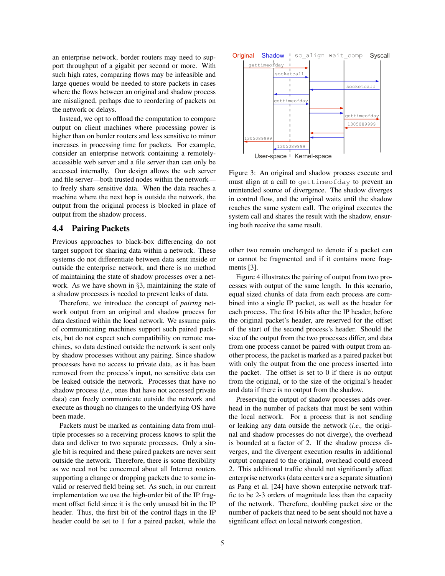an enterprise network, border routers may need to support throughput of a gigabit per second or more. With such high rates, comparing flows may be infeasible and large queues would be needed to store packets in cases where the flows between an original and shadow process are misaligned, perhaps due to reordering of packets on the network or delays.

Instead, we opt to offload the computation to compare output on client machines where processing power is higher than on border routers and less sensitive to minor increases in processing time for packets. For example, consider an enterprise network containing a remotelyaccessible web server and a file server than can only be accessed internally. Our design allows the web server and file server—both trusted nodes within the network to freely share sensitive data. When the data reaches a machine where the next hop is outside the network, the output from the original process is blocked in place of output from the shadow process.

# 4.4 Pairing Packets

Previous approaches to black-box differencing do not target support for sharing data within a network. These systems do not differentiate between data sent inside or outside the enterprise network, and there is no method of maintaining the state of shadow processes over a network. As we have shown in §3, maintaining the state of a shadow processes is needed to prevent leaks of data.

Therefore, we introduce the concept of *pairing* network output from an original and shadow process for data destined within the local network. We assume pairs of communicating machines support such paired packets, but do not expect such compatibility on remote machines, so data destined outside the network is sent only by shadow processes without any pairing. Since shadow processes have no access to private data, as it has been removed from the process's input, no sensitive data can be leaked outside the network. Processes that have no shadow process (*i.e.*, ones that have not accessed private data) can freely communicate outside the network and execute as though no changes to the underlying OS have been made.

Packets must be marked as containing data from multiple processes so a receiving process knows to split the data and deliver to two separate processes. Only a single bit is required and these paired packets are never sent outside the network. Therefore, there is some flexibility as we need not be concerned about all Internet routers supporting a change or dropping packets due to some invalid or reserved field being set. As such, in our current implementation we use the high-order bit of the IP fragment offset field since it is the only unused bit in the IP header. Thus, the first bit of the control flags in the IP header could be set to 1 for a paired packet, while the



Figure 3: An original and shadow process execute and must align at a call to gettimeofday to prevent an unintended source of divergence. The shadow diverges in control flow, and the original waits until the shadow reaches the same system call. The original executes the system call and shares the result with the shadow, ensuring both receive the same result.

other two remain unchanged to denote if a packet can or cannot be fragmented and if it contains more fragments [3].

Figure 4 illustrates the pairing of output from two processes with output of the same length. In this scenario, equal sized chunks of data from each process are combined into a single IP packet, as well as the header for each process. The first 16 bits after the IP header, before the original packet's header, are reserved for the offset of the start of the second process's header. Should the size of the output from the two processes differ, and data from one process cannot be paired with output from another process, the packet is marked as a paired packet but with only the output from the one process inserted into the packet. The offset is set to 0 if there is no output from the original, or to the size of the original's header and data if there is no output from the shadow.

Preserving the output of shadow processes adds overhead in the number of packets that must be sent within the local network. For a process that is not sending or leaking any data outside the network (*i.e.,* the original and shadow processes do not diverge), the overhead is bounded at a factor of 2. If the shadow process diverges, and the divergent execution results in additional output compared to the original, overhead could exceed 2. This additional traffic should not significantly affect enterprise networks (data centers are a separate situation) as Pang et al. [24] have shown enterprise network traffic to be 2-3 orders of magnitude less than the capacity of the network. Therefore, doubling packet size or the number of packets that need to be sent should not have a significant effect on local network congestion.